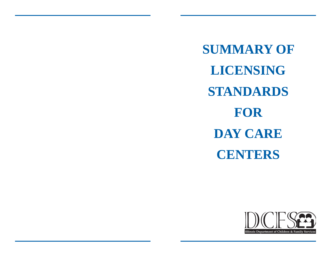**SUMMARY OF LICENSING STANDARDS FOR DAY CARE CENTERS**

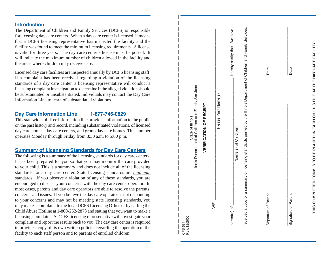#### **Introduction**

The Department of Children and Family Services (DCFS) is responsible for licensing day care centers. When a day care center is licensed, it means that a DCFS licensing representative has inspected the facility and the facility was found to meet the minimum licensing requirements. A license is valid for three years. The day care center's license must be posted. It will indicate the maximum number of children allowed in the facility and the areas where children may receive care.

Licensed day care facilities are inspected annually by DCFS licensing staff. If a complaint has been received regarding a violation of the licensing standards of a day care center, a licensing representative will conduct a licensing complaint investigation to determine if the alleged violation should be substantiated or unsubstantiated. Individuals may contact the Day Care Information Line to learn of substantiated violations.

#### **Day Care Information Line 1-877-746-0829**

This statewide toll-free information line provides information to the public on the past history and record, including substantiated violations, of licensed day care homes, day care centers, and group day care homes. This number operates Monday through Friday from 8:30 a.m. to 5:00 p.m.

### **Summary of Licensing Standards for Day Care Centers**

The following is a summary of the licensing standards for day care centers. It has been prepared for you so that you may monitor the care provided to your child. This is a summary and does not include all of the licensing standards for a day care center. State licensing standards are *minimum* standards. If you observe a violation of any of these standards, you are encouraged to discuss your concerns with the day care center operator. In most cases, parents and day care operators are able to resolve the parents' concerns and issues. If you believe the day care operator is not responding to your concerns and may not be meeting state licensing standards, you may make a complaint to the local DCFS Licensing Office or by calling the Child Abuse Hotline at 1-800-252-2873 and stating that you want to make a licensing complaint. A DCFS licensing representative will investigate your complaint and report the results back to you. The day care center is required to provide a copy of its own written policies regarding the operation of the facility to each staff person and to parents of enrolled children.

| Illinois Department of Children and Family Services                                                                     |                                 |
|-------------------------------------------------------------------------------------------------------------------------|---------------------------------|
| <b>VERIFICATION OF RECEIPT</b>                                                                                          |                                 |
| Please Print Name(s)<br>шĵ<br>$\geq$                                                                                    |                                 |
| Name(s) of Child(ren)<br>parent(s) of                                                                                   | , hereby certify that I/we have |
| received a copy of a summary of licensing standards printed by the Illinois Department of Children and Family Services. |                                 |
| <b>Parent</b><br>Signature of                                                                                           | Date                            |
| Parent<br>Signature of                                                                                                  | Date                            |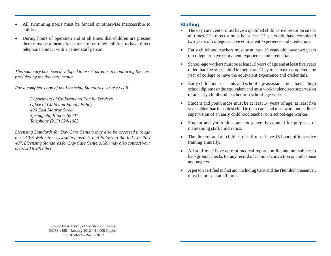- All swimming pools must be fenced or otherwise inaccessible to children.
- During hours of operation and at all times that children are present there must be a means for parents of enrolled children to have direct telephone contact with a center staff person.

*This summary has been developed to assist parents in monitoring the care provided by the day care center.* 

*For a complete copy of the Licensing Standards, write or call*

 *Department of Children and Family Services Offi ce of Child and Family Policy 406 East Monroe Street Springfi eld, Illinois 62701 Telephone (217) 524-1983*

*Licensing Standards for Day Care Centers may also be accessed through the DCFS Web site: www.state.il.us/dcfs and following the links to Part 407, Licensing Standards for Day Care Centers. You may also contact your nearest DCFS offi ce.*

#### **Staffing**

- The day care center must have a qualified child care director on site at all times. The director must be at least 21 years old, have completed two years of college or have equivalent experience and credentials.
- Early childhood teachers must be at least 19 years old, have two years of college or have equivalent experience and credentials.
- School-age workers must be at least 19 years of age and at least five years older than the oldest child in their care. They must have completed one year of college or have the equivalent experience and credentials.
- Early childhood assistants and school-age assistants must have a high school diploma or the equivalent and must work under direct supervision of an early childhood teacher or a school-age worker.
- Student and youth aides must be at least 14 years of age, at least five years older than the oldest child in their care, and must work under direct supervision of an early childhood teacher or a school-age worker.
- Student and youth aides are not generally counted for purposes of maintaining staff/child ratios.
- The director and all child care staff must have 15 hours of in-service training annually.
- All staff must have current medical reports on file and are subject to background checks for any record of criminal conviction or child abuse and neglect.
- A person certified in first aid, including CPR and the Heimlich maneuver, must be present at all times.

Printed by Authority of the State of Illinois DCFS #488 – January 2012 – 10,000 Copies CFS 1050-52 – Rev. 1/2012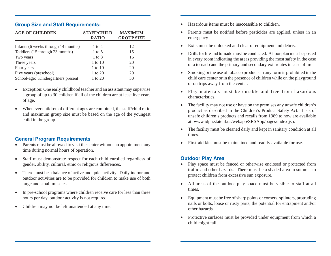### **Group Size and Staff Requirements:**

| <b>AGE OF CHILDREN</b>              | <b>STAFF/CHILD</b><br><b>RATIO</b> | <b>MAXIMUM</b><br><b>GROUP SIZE</b> |
|-------------------------------------|------------------------------------|-------------------------------------|
| Infants (6 weeks through 14 months) | 1 to 4                             | 12                                  |
| Toddlers (15 through 23 months)     | $1$ to 5                           | 15                                  |
| Two years                           | $1 \text{ to } 8$                  | 16                                  |
| Three years                         | $1$ to $10$                        | 20                                  |
| Four years                          | $1$ to $10$                        | 20                                  |
| Five years (preschool)              | 1 to 20                            | 20                                  |
| School-age: Kindergartners present  | 1 to 20                            | 30                                  |

- Exception: One early childhood teacher and an assistant may supervise a group of up to 30 children if all of the children are at least five years of age.
- Whenever children of different ages are combined, the staff/child ratio and maximum group size must be based on the age of the youngest child in the group.

### **General Program Requirements**

- Parents must be allowed to visit the center without an appointment any time during normal hours of operation.
- Staff must demonstrate respect for each child enrolled regardless of gender, ability, cultural, ethic or religious differences.
- There must be a balance of active and quiet activity. Daily indoor and outdoor activities are to be provided for children to make use of both large and small muscles.
- In pre-school programs where children receive care for less than three hours per day, outdoor activity is not required.
- Children may not be left unattended at any time.
- Hazardous items must be inaccessible to children.
- Parents must be notified before pesticides are applied, unless in an emergency
- Exits must be unlocked and clear of equipment and debris.
- Drills for fire and tornado must be conducted. A floor plan must be posted in every room indicating the areas providing the most safety in the case of a tornado and the primary and secondary exit routes in case of fire.
- Smoking or the use of tobacco products in any form is prohibited in the child care center or in the presence of children while on the playground or on trips away from the center.
- Play materials must be durable and free from hazardous characteristics.
- The facility may not use or have on the premises any unsafe children's product as described in the Children's Product Safety Act. Lists of unsafe children's products and recalls from 1989 to now are available at: www.idph.state.il.us/webapp/SRSApp/pages/index.jsp.
- The facility must be cleaned daily and kept in sanitary condition at all times.
- First-aid kits must be maintained and readily available for use.

# **Outdoor Play Area**

- Play space must be fenced or otherwise enclosed or protected from traffic and other hazards. There must be a shaded area in summer to protect children from excessive sun exposure.
- All areas of the outdoor play space must be visible to staff at all times.
- Equipment must be free of sharp points or corners, splinters, protruding nails or bolts, loose or rusty parts, the potential for entrapment and/or other hazards.
- Protective surfaces must be provided under equipment from which a child might fall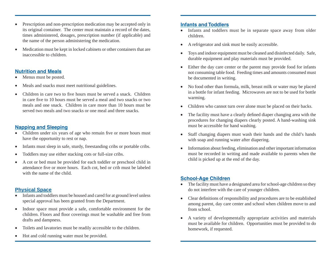- Prescription and non-prescription medication may be accepted only in its original container. The center must maintain a record of the dates, times administered, dosages, prescription number (if applicable) and the name of the person administering the medication.
- Medication must be kept in locked cabinets or other containers that are inaccessible to children.

#### **Nutrition and Meals**

- Menus must be posted.
- Meals and snacks must meet nutritional guidelines.
- Children in care two to five hours must be served a snack. Children in care five to 10 hours must be served a meal and two snacks or two meals and one snack. Children in care more than 10 hours must be served two meals and two snacks or one meal and three snacks.

## **Napping and Sleeping**

- Children under six years of age who remain five or more hours must have the opportunity to rest or nap.
- Infants must sleep in safe, sturdy, freestanding cribs or portable cribs.
- Toddlers may use either stacking cots or full-size cribs.
- A cot or bed must be provided for each toddler or preschool child in attendance five or more hours. Each cot, bed or crib must be labeled with the name of the child.

## **Physical Space**

- Infants and toddlers must be housed and cared for at ground level unless special approval has been granted from the Department.
- Indoor space must provide a safe, comfortable environment for the children. Floors and floor coverings must be washable and free from drafts and dampness.
- Toilets and lavatories must be readily accessible to the children.
- Hot and cold running water must be provided.

### **Infants and Toddlers**

- Infants and toddlers must be in separate space away from older children.
- A refrigerator and sink must be easily accessible.
- Toys and indoor equipment must be cleaned and disinfected daily. Safe, durable equipment and play materials must be provided.
- Either the day care center or the parent may provide food for infants not consuming table food. Feeding times and amounts consumed must be documented in writing.
- No food other than formula, milk, breast milk or water may be placed in a bottle for infant feeding. Microwaves are not to be used for bottle warming.
- Children who cannot turn over alone must be placed on their backs.
- The facility must have a clearly defined diaper changing area with the procedures for changing diapers clearly posted. A hand-washing sink must be accessible for hand washing.
- Staff changing diapers must wash their hands and the child's hands with soap and running water after diapering.
- Information about feeding, elimination and other important information must be recorded in writing and made available to parents when the child is picked up at the end of the day.

## **School-Age Children**

- The facility must have a designated area for school-age children so they do not interfere with the care of younger children.
- Clear definitions of responsibility and procedures are to be established among parent, day care center and school when children move to and from school.
- A variety of developmentally appropriate activities and materials must be available for children. Opportunities must be provided to do homework, if requested.